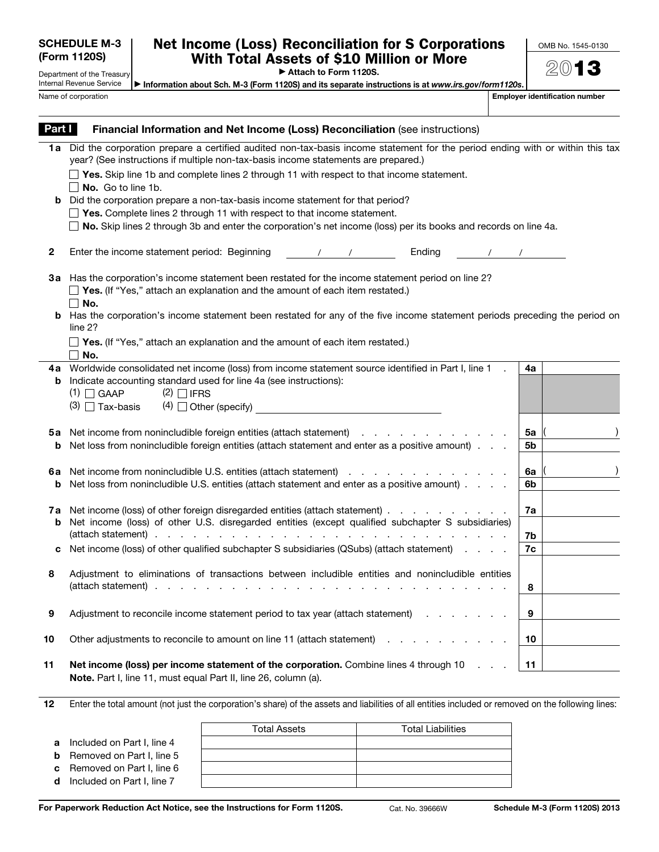|   |                                     | Total Assets | <b>Total Liabilities</b> |
|---|-------------------------------------|--------------|--------------------------|
| a | Included on Part I, line 4          |              |                          |
|   | <b>b</b> Removed on Part I, line 5  |              |                          |
|   | <b>c</b> Removed on Part I, line 6  |              |                          |
|   | <b>d</b> Included on Part I, line 7 |              |                          |
|   |                                     |              |                          |

For Paperwork Reduction Act Notice, see the Instructions for Form 1120S. Cat. No. 39666W Schedule M-3 (Form 1120S) 2013

| Name of corporation | <b>Employer identification number</b>                                                                                                                                                                                                                                                                                                                                                                                                                                                                                                                                                                                             |          |
|---------------------|-----------------------------------------------------------------------------------------------------------------------------------------------------------------------------------------------------------------------------------------------------------------------------------------------------------------------------------------------------------------------------------------------------------------------------------------------------------------------------------------------------------------------------------------------------------------------------------------------------------------------------------|----------|
| Part I              | Financial Information and Net Income (Loss) Reconciliation (see instructions)                                                                                                                                                                                                                                                                                                                                                                                                                                                                                                                                                     |          |
| 1a<br>b             | Did the corporation prepare a certified audited non-tax-basis income statement for the period ending with or within this tax<br>year? (See instructions if multiple non-tax-basis income statements are prepared.)<br>$\Box$ Yes. Skip line 1b and complete lines 2 through 11 with respect to that income statement.<br>No. Go to line 1b.<br>Did the corporation prepare a non-tax-basis income statement for that period?<br>$\Box$ Yes. Complete lines 2 through 11 with respect to that income statement.<br>No. Skip lines 2 through 3b and enter the corporation's net income (loss) per its books and records on line 4a. |          |
| $\mathbf{2}$        | Enter the income statement period: Beginning<br>Ending<br>$\sqrt{2}$                                                                                                                                                                                                                                                                                                                                                                                                                                                                                                                                                              |          |
| За                  | Has the corporation's income statement been restated for the income statement period on line 2?<br>$\Box$ Yes. (If "Yes," attach an explanation and the amount of each item restated.)<br>$\Box$ No.<br><b>b</b> Has the corporation's income statement been restated for any of the five income statement periods preceding the period on                                                                                                                                                                                                                                                                                        |          |
|                     | line 2?<br>$\Box$ Yes. (If "Yes," attach an explanation and the amount of each item restated.)<br>$\Box$ No.                                                                                                                                                                                                                                                                                                                                                                                                                                                                                                                      |          |
| 4a<br>b             | Worldwide consolidated net income (loss) from income statement source identified in Part I, line 1<br>Indicate accounting standard used for line 4a (see instructions):<br>$(1)$ $\Box$ GAAP<br>$(2)$ $\Box$ IFRS<br>$(4)$ Other (specify)<br>$(3)$ $\Box$ Tax-basis                                                                                                                                                                                                                                                                                                                                                              | 4a       |
| 5а<br>b             | Net income from nonincludible foreign entities (attach statement)<br>the contract of the contract of the contract of<br>Net loss from nonincludible foreign entities (attach statement and enter as a positive amount).                                                                                                                                                                                                                                                                                                                                                                                                           | 5a<br>5b |
| 6а<br>b             | Net income from nonincludible U.S. entities (attach statement)<br>the contract of the contract of the contract of the contract of the contract of the contract of the contract of<br>Net loss from nonincludible U.S. entities (attach statement and enter as a positive amount)                                                                                                                                                                                                                                                                                                                                                  | 6a<br>6b |
| 7a<br>b             | Net income (loss) of other foreign disregarded entities (attach statement)<br>Net income (loss) of other U.S. disregarded entities (except qualified subchapter S subsidiaries)                                                                                                                                                                                                                                                                                                                                                                                                                                                   | 7a<br>7b |
| с                   | Net income (loss) of other qualified subchapter S subsidiaries (QSubs) (attach statement)                                                                                                                                                                                                                                                                                                                                                                                                                                                                                                                                         | 7c       |
|                     | Adiustment to eliminations of transactions between includible entities and nonincludible entities                                                                                                                                                                                                                                                                                                                                                                                                                                                                                                                                 | 8        |
| 9                   | Adjustment to reconcile income statement period to tax year (attach statement)<br>and the company of the company                                                                                                                                                                                                                                                                                                                                                                                                                                                                                                                  | 9        |
| 10                  | Other adjustments to reconcile to amount on line 11 (attach statement)<br>$\mathbf{r}$ and $\mathbf{r}$<br>the contract of the contract of                                                                                                                                                                                                                                                                                                                                                                                                                                                                                        | 10       |
| 11                  | Net income (loss) per income statement of the corporation. Combine lines 4 through 10<br>Note. Part I, line 11, must equal Part II, line 26, column (a).                                                                                                                                                                                                                                                                                                                                                                                                                                                                          | 11       |

12 Enter the total amount (not just the corporation's share) of the assets and liabilities of all entities included or removed on the following lines:

## Net Income (Loss) Reconciliation for S Corporations With Total Assets of \$10 Million or More

▶ Attach to Form 1120S.

Department of the Treasury Internal Revenue Service ▶ Information about Sch. M-3 (Form 1120S) and its separate instructions is at *www.irs.gov/form1120s*.

SCHEDULE M-3 (Form 1120S)

OMB No. 1545-0130

201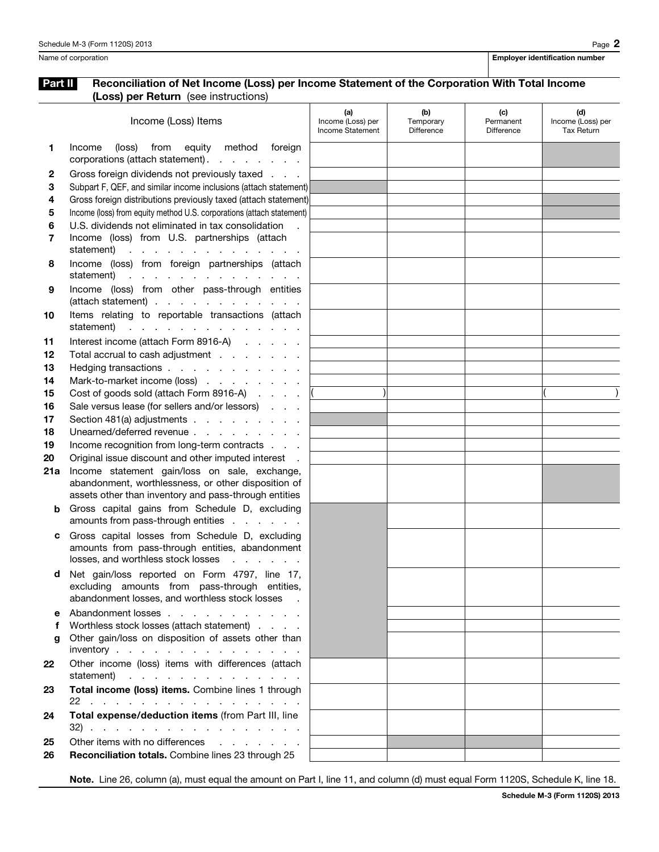## Part II Reconciliation of Net Income (Loss) per Income Statement of the Corporation With Total Income (Loss) per Return (see instructions)

|     | <b>se, per riotari:</b> (888 miotraetion)                                                                     |                                              |                                |                                |                                               |
|-----|---------------------------------------------------------------------------------------------------------------|----------------------------------------------|--------------------------------|--------------------------------|-----------------------------------------------|
|     | Income (Loss) Items                                                                                           | (a)<br>Income (Loss) per<br>Income Statement | (b)<br>Temporary<br>Difference | (c)<br>Permanent<br>Difference | (d)<br>Income (Loss) per<br><b>Tax Return</b> |
| 1   | method foreign<br>Income<br>(loss)<br>from<br>equity<br>corporations (attach statement).                      |                                              |                                |                                |                                               |
| 2   | Gross foreign dividends not previously taxed                                                                  |                                              |                                |                                |                                               |
| 3   | Subpart F, QEF, and similar income inclusions (attach statement)                                              |                                              |                                |                                |                                               |
| 4   | Gross foreign distributions previously taxed (attach statement)                                               |                                              |                                |                                |                                               |
| 5   | Income (loss) from equity method U.S. corporations (attach statement)                                         |                                              |                                |                                |                                               |
| 6   | U.S. dividends not eliminated in tax consolidation                                                            |                                              |                                |                                |                                               |
| 7   | Income (loss) from U.S. partnerships (attach<br>statement)<br>the contract of the contract of the contract of |                                              |                                |                                |                                               |
| 8   | Income (loss) from foreign partnerships (attach<br>statement)                                                 |                                              |                                |                                |                                               |
| 9   | Income (loss) from other pass-through entities<br>(attach statement)                                          |                                              |                                |                                |                                               |
| 10  | Items relating to reportable transactions (attach                                                             |                                              |                                |                                |                                               |
|     | statement)<br>the contract of the contract of the contract of                                                 |                                              |                                |                                |                                               |
| 11  | Interest income (attach Form 8916-A)                                                                          |                                              |                                |                                |                                               |
| 12  | Total accrual to cash adjustment                                                                              |                                              |                                |                                |                                               |
| 13  | Hedging transactions                                                                                          |                                              |                                |                                |                                               |
| 14  | Mark-to-market income (loss)                                                                                  |                                              |                                |                                |                                               |
| 15  | Cost of goods sold (attach Form 8916-A)                                                                       |                                              |                                |                                |                                               |
| 16  | Sale versus lease (for sellers and/or lessors)                                                                |                                              |                                |                                |                                               |
| 17  | Section 481(a) adjustments                                                                                    |                                              |                                |                                |                                               |
| 18  | Unearned/deferred revenue                                                                                     |                                              |                                |                                |                                               |
| 19  | Income recognition from long-term contracts                                                                   |                                              |                                |                                |                                               |
| 20  | Original issue discount and other imputed interest.                                                           |                                              |                                |                                |                                               |
| 21a | Income statement gain/loss on sale, exchange,                                                                 |                                              |                                |                                |                                               |
|     | abandonment, worthlessness, or other disposition of                                                           |                                              |                                |                                |                                               |
|     | assets other than inventory and pass-through entities                                                         |                                              |                                |                                |                                               |
| b   | Gross capital gains from Schedule D, excluding                                                                |                                              |                                |                                |                                               |
|     | amounts from pass-through entities                                                                            |                                              |                                |                                |                                               |
| c   | Gross capital losses from Schedule D, excluding                                                               |                                              |                                |                                |                                               |
|     | amounts from pass-through entities, abandonment                                                               |                                              |                                |                                |                                               |
|     | losses, and worthless stock losses                                                                            |                                              |                                |                                |                                               |
| d   | Net gain/loss reported on Form 4797, line 17,                                                                 |                                              |                                |                                |                                               |
|     | excluding amounts from pass-through entities,<br>abandonment losses, and worthless stock losses .             |                                              |                                |                                |                                               |
| е   | Abandonment losses                                                                                            |                                              |                                |                                |                                               |
| f   | Worthless stock losses (attach statement)                                                                     |                                              |                                |                                |                                               |
| g   | Other gain/loss on disposition of assets other than                                                           |                                              |                                |                                |                                               |
|     | inventory                                                                                                     |                                              |                                |                                |                                               |
| 22  | Other income (loss) items with differences (attach<br>statement)                                              |                                              |                                |                                |                                               |
| 23  | Total income (loss) items. Combine lines 1 through<br>22.                                                     |                                              |                                |                                |                                               |
| 24  | Total expense/deduction items (from Part III, line<br>32)                                                     |                                              |                                |                                |                                               |
| 25  | Other items with no differences                                                                               |                                              |                                |                                |                                               |
| 26  | Reconciliation totals. Combine lines 23 through 25                                                            |                                              |                                |                                |                                               |

Note. Line 26, column (a), must equal the amount on Part I, line 11, and column (d) must equal Form 1120S, Schedule K, line 18.